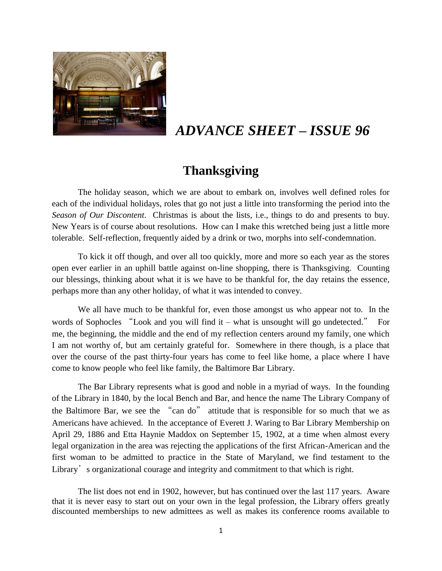

# *ADVANCE SHEET – ISSUE 96*

## **Thanksgiving**

The holiday season, which we are about to embark on, involves well defined roles for each of the individual holidays, roles that go not just a little into transforming the period into the *Season of Our Discontent*. Christmas is about the lists, i.e., things to do and presents to buy. New Years is of course about resolutions. How can I make this wretched being just a little more tolerable. Self-reflection, frequently aided by a drink or two, morphs into self-condemnation.

To kick it off though, and over all too quickly, more and more so each year as the stores open ever earlier in an uphill battle against on-line shopping, there is Thanksgiving. Counting our blessings, thinking about what it is we have to be thankful for, the day retains the essence, perhaps more than any other holiday, of what it was intended to convey.

We all have much to be thankful for, even those amongst us who appear not to. In the words of Sophocles "Look and you will find it – what is unsought will go undetected." For me, the beginning, the middle and the end of my reflection centers around my family, one which I am not worthy of, but am certainly grateful for. Somewhere in there though, is a place that over the course of the past thirty-four years has come to feel like home, a place where I have come to know people who feel like family, the Baltimore Bar Library.

The Bar Library represents what is good and noble in a myriad of ways. In the founding of the Library in 1840, by the local Bench and Bar, and hence the name The Library Company of the Baltimore Bar, we see the "can do" attitude that is responsible for so much that we as Americans have achieved. In the acceptance of Everett J. Waring to Bar Library Membership on April 29, 1886 and Etta Haynie Maddox on September 15, 1902, at a time when almost every legal organization in the area was rejecting the applications of the first African-American and the first woman to be admitted to practice in the State of Maryland, we find testament to the Library's organizational courage and integrity and commitment to that which is right.

The list does not end in 1902, however, but has continued over the last 117 years. Aware that it is never easy to start out on your own in the legal profession, the Library offers greatly discounted memberships to new admittees as well as makes its conference rooms available to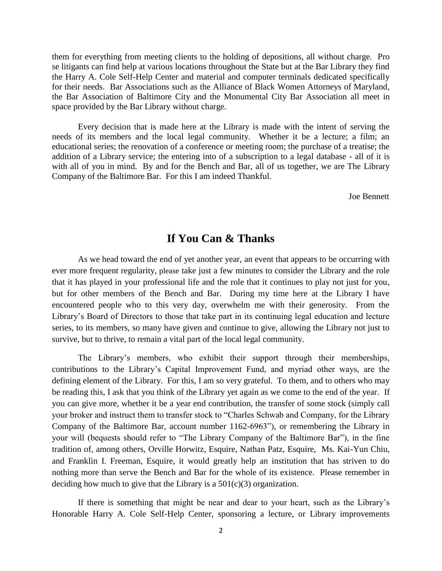them for everything from meeting clients to the holding of depositions, all without charge. Pro se litigants can find help at various locations throughout the State but at the Bar Library they find the Harry A. Cole Self-Help Center and material and computer terminals dedicated specifically for their needs. Bar Associations such as the Alliance of Black Women Attorneys of Maryland, the Bar Association of Baltimore City and the Monumental City Bar Association all meet in space provided by the Bar Library without charge.

Every decision that is made here at the Library is made with the intent of serving the needs of its members and the local legal community. Whether it be a lecture; a film; an educational series; the renovation of a conference or meeting room; the purchase of a treatise; the addition of a Library service; the entering into of a subscription to a legal database - all of it is with all of you in mind. By and for the Bench and Bar, all of us together, we are The Library Company of the Baltimore Bar. For this I am indeed Thankful.

Joe Bennett

### **If You Can & Thanks**

As we head toward the end of yet another year, an event that appears to be occurring with ever more frequent regularity, please take just a few minutes to consider the Library and the role that it has played in your professional life and the role that it continues to play not just for you, but for other members of the Bench and Bar. During my time here at the Library I have encountered people who to this very day, overwhelm me with their generosity. From the Library's Board of Directors to those that take part in its continuing legal education and lecture series, to its members, so many have given and continue to give, allowing the Library not just to survive, but to thrive, to remain a vital part of the local legal community.

The Library's members, who exhibit their support through their memberships, contributions to the Library's Capital Improvement Fund, and myriad other ways, are the defining element of the Library. For this, I am so very grateful. To them, and to others who may be reading this, I ask that you think of the Library yet again as we come to the end of the year. If you can give more, whether it be a year end contribution, the transfer of some stock (simply call your broker and instruct them to transfer stock to "Charles Schwab and Company, for the Library Company of the Baltimore Bar, account number 1162-6963"), or remembering the Library in your will (bequests should refer to "The Library Company of the Baltimore Bar"), in the fine tradition of, among others, Orville Horwitz, Esquire, Nathan Patz, Esquire, Ms. Kai-Yun Chiu, and Franklin I. Freeman, Esquire, it would greatly help an institution that has striven to do nothing more than serve the Bench and Bar for the whole of its existence. Please remember in deciding how much to give that the Library is a  $501(c)(3)$  organization.

 If there is something that might be near and dear to your heart, such as the Library's Honorable Harry A. Cole Self-Help Center, sponsoring a lecture, or Library improvements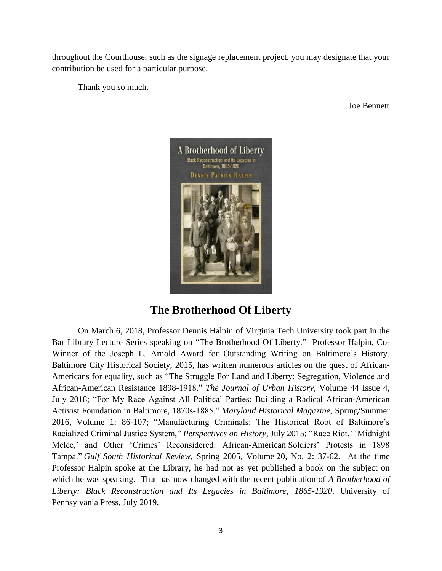throughout the Courthouse, such as the signage replacement project, you may designate that your contribution be used for a particular purpose.

Thank you so much.

Joe Bennett



## **The Brotherhood Of Liberty**

On March 6, 2018, Professor Dennis Halpin of Virginia Tech University took part in the Bar Library Lecture Series speaking on "The Brotherhood Of Liberty." Professor Halpin, Co-Winner of the Joseph L. Arnold Award for Outstanding Writing on Baltimore's History, Baltimore City Historical Society, 2015, has written numerous articles on the quest of African-Americans for equality, such as "The Struggle For Land and Liberty: Segregation, Violence and African-American Resistance 1898-1918." *The Journal of Urban History*, Volume 44 Issue 4, July 2018; "For My Race Against All Political Parties: Building a Radical African-American Activist Foundation in Baltimore, 1870s-1885." *Maryland Historical Magazine*, Spring/Summer 2016, Volume 1: 86-107; "Manufacturing Criminals: The Historical Root of Baltimore's Racialized Criminal Justice System," *Perspectives on History*, July 2015; "Race Riot,' 'Midnight Melee,' and Other 'Crimes' Reconsidered: African-American Soldiers' Protests in 1898 Tampa." *Gulf South Historical Review*, Spring 2005, Volume 20, No. 2: 37-62. At the time Professor Halpin spoke at the Library, he had not as yet published a book on the subject on which he was speaking. That has now changed with the recent publication of *[A Brotherhood](https://www.news.liberalarts.vt.edu/books/2019/07/01/a-brotherhood-of-liberty-2/) of [Liberty: Black Reconstruction and Its Legacies in Baltimore](https://www.news.liberalarts.vt.edu/books/2019/07/01/a-brotherhood-of-liberty-2/)*, *1865-1920*. University of Pennsylvania Press, July 2019.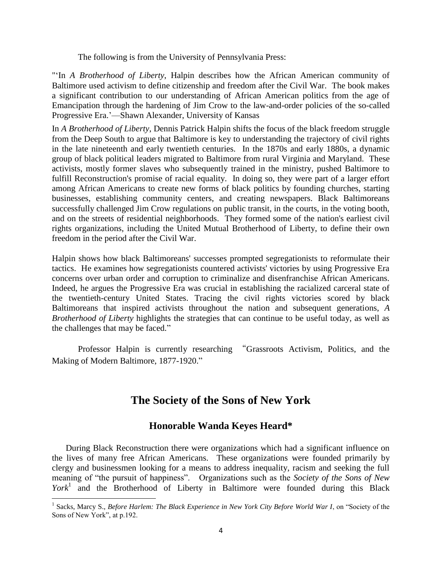The following is from the University of Pennsylvania Press:

"'In *A Brotherhood of Liberty*, Halpin describes how the African American community of Baltimore used activism to define citizenship and freedom after the Civil War. The book makes a significant contribution to our understanding of African American politics from the age of Emancipation through the hardening of Jim Crow to the law-and-order policies of the so-called Progressive Era.'—Shawn Alexander, University of Kansas

In *A Brotherhood of Liberty*, Dennis Patrick Halpin shifts the focus of the black freedom struggle from the Deep South to argue that Baltimore is key to understanding the trajectory of civil rights in the late nineteenth and early twentieth centuries. In the 1870s and early 1880s, a dynamic group of black political leaders migrated to Baltimore from rural Virginia and Maryland. These activists, mostly former slaves who subsequently trained in the ministry, pushed Baltimore to fulfill Reconstruction's promise of racial equality. In doing so, they were part of a larger effort among African Americans to create new forms of black politics by founding churches, starting businesses, establishing community centers, and creating newspapers. Black Baltimoreans successfully challenged Jim Crow regulations on public transit, in the courts, in the voting booth, and on the streets of residential neighborhoods. They formed some of the nation's earliest civil rights organizations, including the United Mutual Brotherhood of Liberty, to define their own freedom in the period after the Civil War.

Halpin shows how black Baltimoreans' successes prompted segregationists to reformulate their tactics. He examines how segregationists countered activists' victories by using Progressive Era concerns over urban order and corruption to criminalize and disenfranchise African Americans. Indeed, he argues the Progressive Era was crucial in establishing the racialized carceral state of the twentieth-century United States. Tracing the civil rights victories scored by black Baltimoreans that inspired activists throughout the nation and subsequent generations, *A Brotherhood of Liberty* highlights the strategies that can continue to be useful today, as well as the challenges that may be faced."

Professor Halpin is currently researching "Grassroots Activism, Politics, and the Making of Modern Baltimore, 1877-1920."

## **The Society of the Sons of New York**

### **Honorable Wanda Keyes Heard\***

 During Black Reconstruction there were organizations which had a significant influence on the lives of many free African Americans. These organizations were founded primarily by clergy and businessmen looking for a means to address inequality, racism and seeking the full meaning of "the pursuit of happiness". Organizations such as the *Society of the Sons of New York*<sup>1</sup> and the Brotherhood of Liberty in Baltimore were founded during this Black

 $\overline{\phantom{a}}$ <sup>1</sup> Sacks, Marcy S., *Before Harlem: The Black Experience in New York City Before World War I*, on "Society of the Sons of New York", at p.192.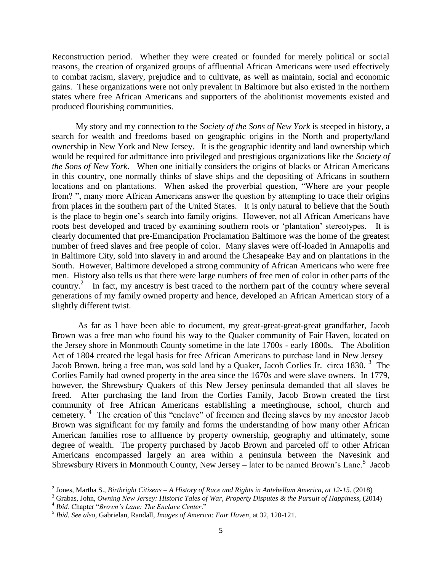Reconstruction period. Whether they were created or founded for merely political or social reasons, the creation of organized groups of affluential African Americans were used effectively to combat racism, slavery, prejudice and to cultivate, as well as maintain, social and economic gains. These organizations were not only prevalent in Baltimore but also existed in the northern states where free African Americans and supporters of the abolitionist movements existed and produced flourishing communities.

 My story and my connection to the *Society of the Sons of New York* is steeped in history, a search for wealth and freedoms based on geographic origins in the North and property/land ownership in New York and New Jersey. It is the geographic identity and land ownership which would be required for admittance into privileged and prestigious organizations like the *Society of the Sons of New York*. When one initially considers the origins of blacks or African Americans in this country, one normally thinks of slave ships and the depositing of Africans in southern locations and on plantations. When asked the proverbial question, "Where are your people from? ", many more African Americans answer the question by attempting to trace their origins from places in the southern part of the United States. It is only natural to believe that the South is the place to begin one's search into family origins. However, not all African Americans have roots best developed and traced by examining southern roots or 'plantation' stereotypes. It is clearly documented that pre-Emancipation Proclamation Baltimore was the home of the greatest number of freed slaves and free people of color. Many slaves were off-loaded in Annapolis and in Baltimore City, sold into slavery in and around the Chesapeake Bay and on plantations in the South. However, Baltimore developed a strong community of African Americans who were free men. History also tells us that there were large numbers of free men of color in other parts of the country.<sup>2</sup> In fact, my ancestry is best traced to the northern part of the country where several generations of my family owned property and hence, developed an African American story of a slightly different twist.

 As far as I have been able to document, my great-great-great-great grandfather, Jacob Brown was a free man who found his way to the Quaker community of Fair Haven, located on the Jersey shore in Monmouth County sometime in the late 1700s - early 1800s. The Abolition Act of 1804 created the legal basis for free African Americans to purchase land in New Jersey – Jacob Brown, being a free man, was sold land by a Quaker, Jacob Corlies Jr. circa 1830.<sup>3</sup> The Corlies Family had owned property in the area since the 1670s and were slave owners. In 1779, however, the Shrewsbury Quakers of this New Jersey peninsula demanded that all slaves be freed. After purchasing the land from the Corlies Family, Jacob Brown created the first community of free African Americans establishing a meetinghouse, school, church and cemetery.<sup>4</sup> The creation of this "enclave" of freemen and fleeing slaves by my ancestor Jacob Brown was significant for my family and forms the understanding of how many other African American families rose to affluence by property ownership, geography and ultimately, some degree of wealth. The property purchased by Jacob Brown and parceled off to other African Americans encompassed largely an area within a peninsula between the Navesink and Shrewsbury Rivers in Monmouth County, New Jersey – later to be named Brown's Lane.<sup>5</sup> Jacob

 $\overline{\phantom{a}}$ 

<sup>2</sup> Jones, Martha S., *Birthright Citizens – A History of Race and Rights in Antebellum America, at 12-15.* (2018)

<sup>3</sup> Grabas, John, *Owning New Jersey: Historic Tales of War, Property Disputes & the Pursuit of Happiness*, (2014)

<sup>4</sup> *Ibid*. Chapter "*Brown's Lane: The Enclave Center*."

<sup>5</sup> *Ibid. See also,* Gabrielan, Randall, *Images of America: Fair Haven*, at 32, 120-121.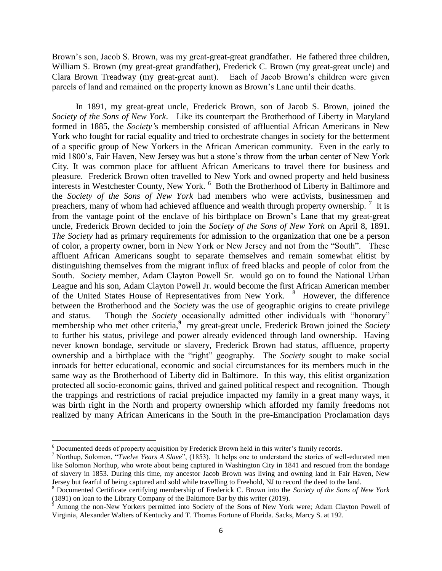Brown's son, Jacob S. Brown, was my great-great-great grandfather. He fathered three children, William S. Brown (my great-great grandfather), Frederick C. Brown (my great-great uncle) and Clara Brown Treadway (my great-great aunt). Each of Jacob Brown's children were given parcels of land and remained on the property known as Brown's Lane until their deaths.

 In 1891, my great-great uncle, Frederick Brown, son of Jacob S. Brown, joined the *Society of the Sons of New York*. Like its counterpart the Brotherhood of Liberty in Maryland formed in 1885, the *Society'*s membership consisted of affluential African Americans in New York who fought for racial equality and tried to orchestrate changes in society for the betterment of a specific group of New Yorkers in the African American community. Even in the early to mid 1800's, Fair Haven, New Jersey was but a stone's throw from the urban center of New York City. It was common place for affluent African Americans to travel there for business and pleasure. Frederick Brown often travelled to New York and owned property and held business interests in Westchester County, New York. <sup>6</sup> Both the Brotherhood of Liberty in Baltimore and the *Society of the Sons of New York* had members who were activists, businessmen and preachers, many of whom had achieved affluence and wealth through property ownership.  $\frac{7}{1}$  It is from the vantage point of the enclave of his birthplace on Brown's Lane that my great-great uncle, Frederick Brown decided to join the *Society of the Sons of New York* on April 8, 1891. *The Society* had as primary requirements for admission to the organization that one be a person of color, a property owner, born in New York or New Jersey and not from the "South". These affluent African Americans sought to separate themselves and remain somewhat elitist by distinguishing themselves from the migrant influx of freed blacks and people of color from the South. *Society* member, Adam Clayton Powell Sr. would go on to found the National Urban League and his son, Adam Clayton Powell Jr. would become the first African American member of the United States House of Representatives from New York. <sup>8</sup> However, the difference between the Brotherhood and the *Society* was the use of geographic origins to create privilege and status. Though the *Society* occasionally admitted other individuals with "honorary" membership who met other criteria,<sup>9</sup> my great-great uncle, Frederick Brown joined the *Society* to further his status, privilege and power already evidenced through land ownership. Having never known bondage, servitude or slavery, Frederick Brown had status, affluence, property ownership and a birthplace with the "right" geography. The *Society* sought to make social inroads for better educational, economic and social circumstances for its members much in the same way as the Brotherhood of Liberty did in Baltimore. In this way, this elitist organization protected all socio-economic gains, thrived and gained political respect and recognition. Though the trappings and restrictions of racial prejudice impacted my family in a great many ways, it was birth right in the North and property ownership which afforded my family freedoms not realized by many African Americans in the South in the pre-Emancipation Proclamation days

 $\overline{\phantom{a}}$ 

 $6$  Documented deeds of property acquisition by Frederick Brown held in this writer's family records.

<sup>7</sup> Northup, Solomon, "*Twelve Years A Slave*", (1853). It helps one to understand the stories of well-educated men like Solomon Northup, who wrote about being captured in Washington City in 1841 and rescued from the bondage of slavery in 1853. During this time, my ancestor Jacob Brown was living and owning land in Fair Haven, New Jersey but fearful of being captured and sold while travelling to Freehold, NJ to record the deed to the land.

<sup>8</sup> Documented Certificate certifying membership of Frederick C. Brown into the *Society of the Sons of New York* (1891) on loan to the Library Company of the Baltimore Bar by this writer (2019).

<sup>&</sup>lt;sup>9</sup> Among the non-New Yorkers permitted into Society of the Sons of New York were; Adam Clayton Powell of Virginia, Alexander Walters of Kentucky and T. Thomas Fortune of Florida. Sacks, Marcy S. at 192.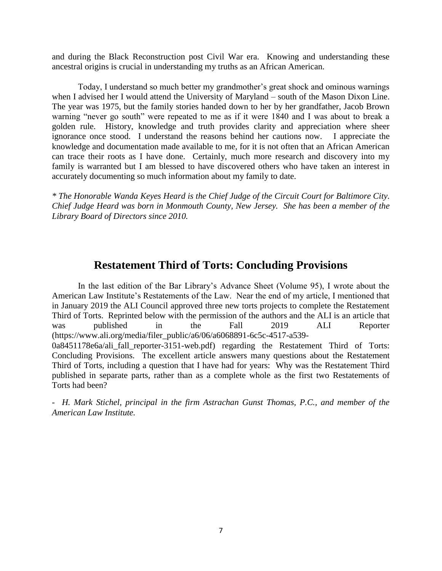and during the Black Reconstruction post Civil War era. Knowing and understanding these ancestral origins is crucial in understanding my truths as an African American.

Today, I understand so much better my grandmother's great shock and ominous warnings when I advised her I would attend the University of Maryland – south of the Mason Dixon Line. The year was 1975, but the family stories handed down to her by her grandfather, Jacob Brown warning "never go south" were repeated to me as if it were 1840 and I was about to break a golden rule. History, knowledge and truth provides clarity and appreciation where sheer ignorance once stood. I understand the reasons behind her cautions now. I appreciate the knowledge and documentation made available to me, for it is not often that an African American can trace their roots as I have done. Certainly, much more research and discovery into my family is warranted but I am blessed to have discovered others who have taken an interest in accurately documenting so much information about my family to date.

*\* The Honorable Wanda Keyes Heard is the Chief Judge of the Circuit Court for Baltimore City. Chief Judge Heard was born in Monmouth County, New Jersey. She has been a member of the Library Board of Directors since 2010.* 

## **Restatement Third of Torts: Concluding Provisions**

In the last edition of the Bar Library's Advance Sheet (Volume 95), I wrote about the American Law Institute's Restatements of the Law. Near the end of my article, I mentioned that in January 2019 the ALI Council approved three new torts projects to complete the Restatement Third of Torts. Reprinted below with the permission of the authors and the ALI is an article that was published in the Fall 2019 ALI Reporter (https://www.ali.org/media/filer\_public/a6/06/a6068891-6c5c-4517-a539-

0a8451178e6a/ali fall reporter-3151-web.pdf) regarding the Restatement Third of Torts: Concluding Provisions. The excellent article answers many questions about the Restatement Third of Torts, including a question that I have had for years: Why was the Restatement Third published in separate parts, rather than as a complete whole as the first two Restatements of Torts had been?

*- H. Mark Stichel, principal in the firm Astrachan Gunst Thomas, P.C., and member of the American Law Institute.*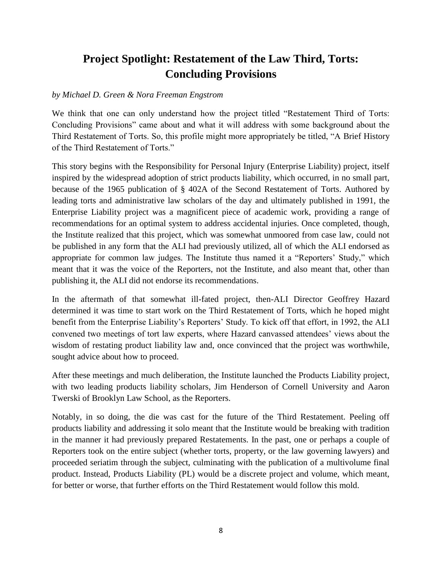## **Project Spotlight: Restatement of the Law Third, Torts: Concluding Provisions**

#### *by Michael D. Green & Nora Freeman Engstrom*

We think that one can only understand how the project titled "Restatement Third of Torts: Concluding Provisions" came about and what it will address with some background about the Third Restatement of Torts. So, this profile might more appropriately be titled, "A Brief History of the Third Restatement of Torts."

This story begins with the Responsibility for Personal Injury (Enterprise Liability) project, itself inspired by the widespread adoption of strict products liability, which occurred, in no small part, because of the 1965 publication of § 402A of the Second Restatement of Torts. Authored by leading torts and administrative law scholars of the day and ultimately published in 1991, the Enterprise Liability project was a magnificent piece of academic work, providing a range of recommendations for an optimal system to address accidental injuries. Once completed, though, the Institute realized that this project, which was somewhat unmoored from case law, could not be published in any form that the ALI had previously utilized, all of which the ALI endorsed as appropriate for common law judges. The Institute thus named it a "Reporters' Study," which meant that it was the voice of the Reporters, not the Institute, and also meant that, other than publishing it, the ALI did not endorse its recommendations.

In the aftermath of that somewhat ill-fated project, then-ALI Director Geoffrey Hazard determined it was time to start work on the Third Restatement of Torts, which he hoped might benefit from the Enterprise Liability's Reporters' Study. To kick off that effort, in 1992, the ALI convened two meetings of tort law experts, where Hazard canvassed attendees' views about the wisdom of restating product liability law and, once convinced that the project was worthwhile, sought advice about how to proceed.

After these meetings and much deliberation, the Institute launched the Products Liability project, with two leading products liability scholars, Jim Henderson of Cornell University and Aaron Twerski of Brooklyn Law School, as the Reporters.

Notably, in so doing, the die was cast for the future of the Third Restatement. Peeling off products liability and addressing it solo meant that the Institute would be breaking with tradition in the manner it had previously prepared Restatements. In the past, one or perhaps a couple of Reporters took on the entire subject (whether torts, property, or the law governing lawyers) and proceeded seriatim through the subject, culminating with the publication of a multivolume final product. Instead, Products Liability (PL) would be a discrete project and volume, which meant, for better or worse, that further efforts on the Third Restatement would follow this mold.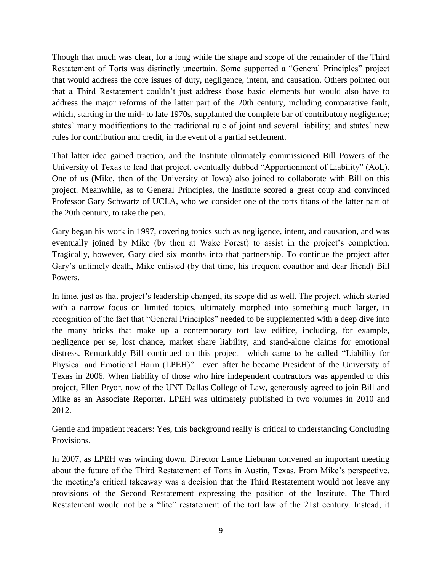Though that much was clear, for a long while the shape and scope of the remainder of the Third Restatement of Torts was distinctly uncertain. Some supported a "General Principles" project that would address the core issues of duty, negligence, intent, and causation. Others pointed out that a Third Restatement couldn't just address those basic elements but would also have to address the major reforms of the latter part of the 20th century, including comparative fault, which, starting in the mid- to late 1970s, supplanted the complete bar of contributory negligence; states' many modifications to the traditional rule of joint and several liability; and states' new rules for contribution and credit, in the event of a partial settlement.

That latter idea gained traction, and the Institute ultimately commissioned Bill Powers of the University of Texas to lead that project, eventually dubbed "Apportionment of Liability" (AoL). One of us (Mike, then of the University of Iowa) also joined to collaborate with Bill on this project. Meanwhile, as to General Principles, the Institute scored a great coup and convinced Professor Gary Schwartz of UCLA, who we consider one of the torts titans of the latter part of the 20th century, to take the pen.

Gary began his work in 1997, covering topics such as negligence, intent, and causation, and was eventually joined by Mike (by then at Wake Forest) to assist in the project's completion. Tragically, however, Gary died six months into that partnership. To continue the project after Gary's untimely death, Mike enlisted (by that time, his frequent coauthor and dear friend) Bill Powers.

In time, just as that project's leadership changed, its scope did as well. The project, which started with a narrow focus on limited topics, ultimately morphed into something much larger, in recognition of the fact that "General Principles" needed to be supplemented with a deep dive into the many bricks that make up a contemporary tort law edifice, including, for example, negligence per se, lost chance, market share liability, and stand-alone claims for emotional distress. Remarkably Bill continued on this project—which came to be called "Liability for Physical and Emotional Harm (LPEH)"—even after he became President of the University of Texas in 2006. When liability of those who hire independent contractors was appended to this project, Ellen Pryor, now of the UNT Dallas College of Law, generously agreed to join Bill and Mike as an Associate Reporter. LPEH was ultimately published in two volumes in 2010 and 2012.

Gentle and impatient readers: Yes, this background really is critical to understanding Concluding Provisions.

In 2007, as LPEH was winding down, Director Lance Liebman convened an important meeting about the future of the Third Restatement of Torts in Austin, Texas. From Mike's perspective, the meeting's critical takeaway was a decision that the Third Restatement would not leave any provisions of the Second Restatement expressing the position of the Institute. The Third Restatement would not be a "lite" restatement of the tort law of the 21st century. Instead, it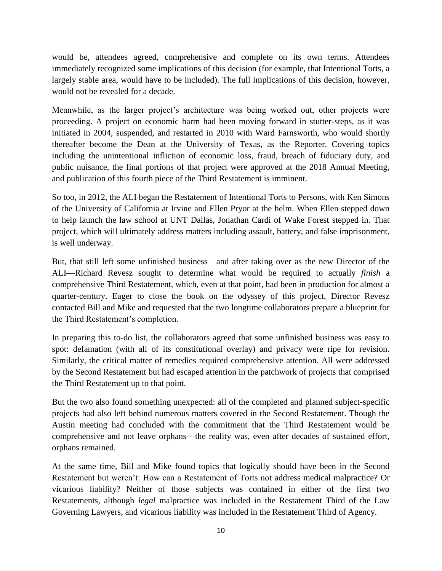would be, attendees agreed, comprehensive and complete on its own terms. Attendees immediately recognized some implications of this decision (for example, that Intentional Torts, a largely stable area, would have to be included). The full implications of this decision, however, would not be revealed for a decade.

Meanwhile, as the larger project's architecture was being worked out, other projects were proceeding. A project on economic harm had been moving forward in stutter-steps, as it was initiated in 2004, suspended, and restarted in 2010 with Ward Farnsworth, who would shortly thereafter become the Dean at the University of Texas, as the Reporter. Covering topics including the unintentional infliction of economic loss, fraud, breach of fiduciary duty, and public nuisance, the final portions of that project were approved at the 2018 Annual Meeting, and publication of this fourth piece of the Third Restatement is imminent.

So too, in 2012, the ALI began the Restatement of Intentional Torts to Persons, with Ken Simons of the University of California at Irvine and Ellen Pryor at the helm. When Ellen stepped down to help launch the law school at UNT Dallas, Jonathan Cardi of Wake Forest stepped in. That project, which will ultimately address matters including assault, battery, and false imprisonment, is well underway.

But, that still left some unfinished business—and after taking over as the new Director of the ALI—Richard Revesz sought to determine what would be required to actually *finish* a comprehensive Third Restatement, which, even at that point, had been in production for almost a quarter-century. Eager to close the book on the odyssey of this project, Director Revesz contacted Bill and Mike and requested that the two longtime collaborators prepare a blueprint for the Third Restatement's completion.

In preparing this to-do list, the collaborators agreed that some unfinished business was easy to spot: defamation (with all of its constitutional overlay) and privacy were ripe for revision. Similarly, the critical matter of remedies required comprehensive attention. All were addressed by the Second Restatement but had escaped attention in the patchwork of projects that comprised the Third Restatement up to that point.

But the two also found something unexpected: all of the completed and planned subject-specific projects had also left behind numerous matters covered in the Second Restatement. Though the Austin meeting had concluded with the commitment that the Third Restatement would be comprehensive and not leave orphans—the reality was, even after decades of sustained effort, orphans remained.

At the same time, Bill and Mike found topics that logically should have been in the Second Restatement but weren't: How can a Restatement of Torts not address medical malpractice? Or vicarious liability? Neither of those subjects was contained in either of the first two Restatements, although *legal* malpractice was included in the Restatement Third of the Law Governing Lawyers, and vicarious liability was included in the Restatement Third of Agency.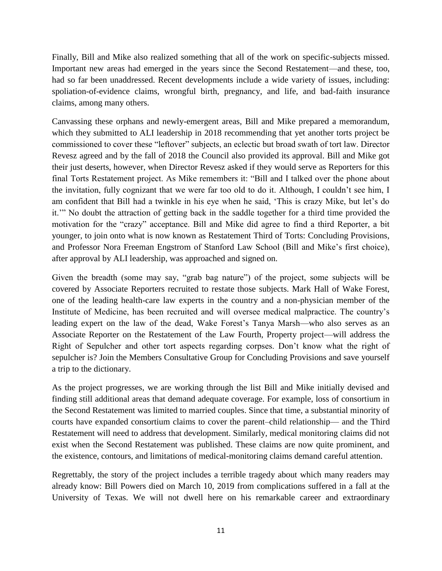Finally, Bill and Mike also realized something that all of the work on specific-subjects missed. Important new areas had emerged in the years since the Second Restatement—and these, too, had so far been unaddressed. Recent developments include a wide variety of issues, including: spoliation-of-evidence claims, wrongful birth, pregnancy, and life, and bad-faith insurance claims, among many others.

Canvassing these orphans and newly-emergent areas, Bill and Mike prepared a memorandum, which they submitted to ALI leadership in 2018 recommending that yet another torts project be commissioned to cover these "leftover" subjects, an eclectic but broad swath of tort law. Director Revesz agreed and by the fall of 2018 the Council also provided its approval. Bill and Mike got their just deserts, however, when Director Revesz asked if they would serve as Reporters for this final Torts Restatement project. As Mike remembers it: "Bill and I talked over the phone about the invitation, fully cognizant that we were far too old to do it. Although, I couldn't see him, I am confident that Bill had a twinkle in his eye when he said, 'This is crazy Mike, but let's do it.'" No doubt the attraction of getting back in the saddle together for a third time provided the motivation for the "crazy" acceptance. Bill and Mike did agree to find a third Reporter, a bit younger, to join onto what is now known as Restatement Third of Torts: Concluding Provisions, and Professor Nora Freeman Engstrom of Stanford Law School (Bill and Mike's first choice), after approval by ALI leadership, was approached and signed on.

Given the breadth (some may say, "grab bag nature") of the project, some subjects will be covered by Associate Reporters recruited to restate those subjects. Mark Hall of Wake Forest, one of the leading health-care law experts in the country and a non-physician member of the Institute of Medicine, has been recruited and will oversee medical malpractice. The country's leading expert on the law of the dead, Wake Forest's Tanya Marsh—who also serves as an Associate Reporter on the Restatement of the Law Fourth, Property project—will address the Right of Sepulcher and other tort aspects regarding corpses. Don't know what the right of sepulcher is? Join the Members Consultative Group for Concluding Provisions and save yourself a trip to the dictionary.

As the project progresses, we are working through the list Bill and Mike initially devised and finding still additional areas that demand adequate coverage. For example, loss of consortium in the Second Restatement was limited to married couples. Since that time, a substantial minority of courts have expanded consortium claims to cover the parent–child relationship— and the Third Restatement will need to address that development. Similarly, medical monitoring claims did not exist when the Second Restatement was published. These claims are now quite prominent, and the existence, contours, and limitations of medical-monitoring claims demand careful attention.

Regrettably, the story of the project includes a terrible tragedy about which many readers may already know: Bill Powers died on March 10, 2019 from complications suffered in a fall at the University of Texas. We will not dwell here on his remarkable career and extraordinary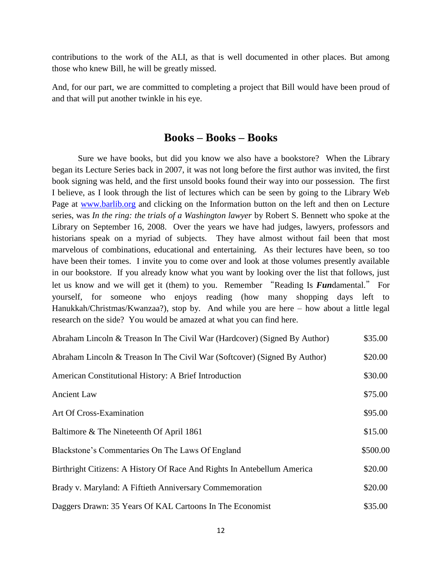contributions to the work of the ALI, as that is well documented in other places. But among those who knew Bill, he will be greatly missed.

And, for our part, we are committed to completing a project that Bill would have been proud of and that will put another twinkle in his eye.

#### **Books – Books – Books**

Sure we have books, but did you know we also have a bookstore? When the Library began its Lecture Series back in 2007, it was not long before the first author was invited, the first book signing was held, and the first unsold books found their way into our possession. The first I believe, as I look through the list of lectures which can be seen by going to the Library Web Page at [www.barlib.org](http://www.barlib.org/) and clicking on the Information button on the left and then on Lecture series, was *In the ring: the trials of a Washington lawyer* by Robert S. Bennett who spoke at the Library on September 16, 2008. Over the years we have had judges, lawyers, professors and historians speak on a myriad of subjects. They have almost without fail been that most marvelous of combinations, educational and entertaining. As their lectures have been, so too have been their tomes. I invite you to come over and look at those volumes presently available in our bookstore. If you already know what you want by looking over the list that follows, just let us know and we will get it (them) to you. Remember "Reading Is *Fun*damental." For yourself, for someone who enjoys reading (how many shopping days left to Hanukkah/Christmas/Kwanzaa?), stop by. And while you are here – how about a little legal research on the side? You would be amazed at what you can find here.

| Abraham Lincoln & Treason In The Civil War (Hardcover) (Signed By Author) | \$35.00  |
|---------------------------------------------------------------------------|----------|
| Abraham Lincoln & Treason In The Civil War (Softcover) (Signed By Author) | \$20.00  |
| American Constitutional History: A Brief Introduction                     | \$30.00  |
| <b>Ancient Law</b>                                                        | \$75.00  |
| Art Of Cross-Examination                                                  | \$95.00  |
| Baltimore & The Nineteenth Of April 1861                                  | \$15.00  |
| Blackstone's Commentaries On The Laws Of England                          | \$500.00 |
| Birthright Citizens: A History Of Race And Rights In Antebellum America   | \$20.00  |
| Brady v. Maryland: A Fiftieth Anniversary Commemoration                   | \$20.00  |
| Daggers Drawn: 35 Years Of KAL Cartoons In The Economist                  | \$35.00  |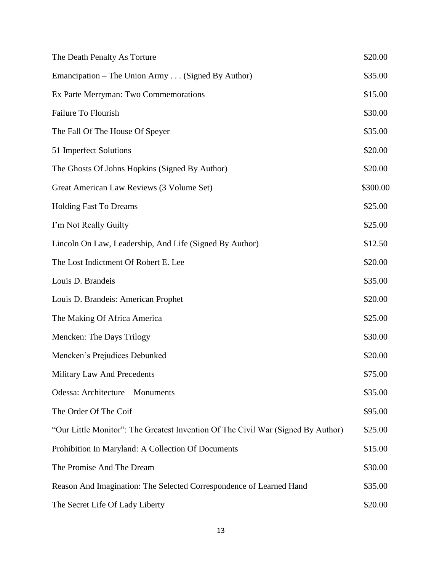| The Death Penalty As Torture                                                     | \$20.00  |
|----------------------------------------------------------------------------------|----------|
| Emancipation – The Union Army (Signed By Author)                                 | \$35.00  |
| Ex Parte Merryman: Two Commemorations                                            | \$15.00  |
| Failure To Flourish                                                              | \$30.00  |
| The Fall Of The House Of Speyer                                                  | \$35.00  |
| 51 Imperfect Solutions                                                           | \$20.00  |
| The Ghosts Of Johns Hopkins (Signed By Author)                                   | \$20.00  |
| Great American Law Reviews (3 Volume Set)                                        | \$300.00 |
| <b>Holding Fast To Dreams</b>                                                    | \$25.00  |
| I'm Not Really Guilty                                                            | \$25.00  |
| Lincoln On Law, Leadership, And Life (Signed By Author)                          | \$12.50  |
| The Lost Indictment Of Robert E. Lee                                             | \$20.00  |
| Louis D. Brandeis                                                                | \$35.00  |
| Louis D. Brandeis: American Prophet                                              | \$20.00  |
| The Making Of Africa America                                                     | \$25.00  |
| Mencken: The Days Trilogy                                                        | \$30.00  |
| Mencken's Prejudices Debunked                                                    | \$20.00  |
| Military Law And Precedents                                                      | \$75.00  |
| Odessa: Architecture - Monuments                                                 | \$35.00  |
| The Order Of The Coif                                                            | \$95.00  |
| "Our Little Monitor": The Greatest Invention Of The Civil War (Signed By Author) | \$25.00  |
| Prohibition In Maryland: A Collection Of Documents                               | \$15.00  |
| The Promise And The Dream                                                        | \$30.00  |
| Reason And Imagination: The Selected Correspondence of Learned Hand              | \$35.00  |
| The Secret Life Of Lady Liberty                                                  | \$20.00  |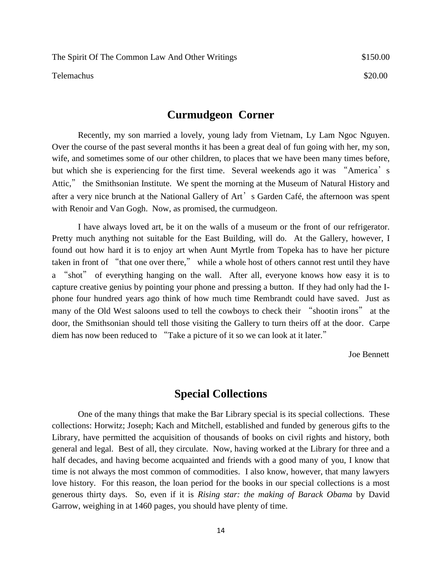Telemachus \$20.00

#### **Curmudgeon Corner**

Recently, my son married a lovely, young lady from Vietnam, Ly Lam Ngoc Nguyen. Over the course of the past several months it has been a great deal of fun going with her, my son, wife, and sometimes some of our other children, to places that we have been many times before, but which she is experiencing for the first time. Several weekends ago it was "America's Attic," the Smithsonian Institute. We spent the morning at the Museum of Natural History and after a very nice brunch at the National Gallery of Art's Garden Café, the afternoon was spent with Renoir and Van Gogh. Now, as promised, the curmudgeon.

I have always loved art, be it on the walls of a museum or the front of our refrigerator. Pretty much anything not suitable for the East Building, will do. At the Gallery, however, I found out how hard it is to enjoy art when Aunt Myrtle from Topeka has to have her picture taken in front of "that one over there," while a whole host of others cannot rest until they have a "shot" of everything hanging on the wall. After all, everyone knows how easy it is to capture creative genius by pointing your phone and pressing a button. If they had only had the Iphone four hundred years ago think of how much time Rembrandt could have saved. Just as many of the Old West saloons used to tell the cowboys to check their "shootin irons" at the door, the Smithsonian should tell those visiting the Gallery to turn theirs off at the door. Carpe diem has now been reduced to "Take a picture of it so we can look at it later."

Joe Bennett

## **Special Collections**

One of the many things that make the Bar Library special is its special collections. These collections: Horwitz; Joseph; Kach and Mitchell, established and funded by generous gifts to the Library, have permitted the acquisition of thousands of books on civil rights and history, both general and legal. Best of all, they circulate. Now, having worked at the Library for three and a half decades, and having become acquainted and friends with a good many of you, I know that time is not always the most common of commodities. I also know, however, that many lawyers love history. For this reason, the loan period for the books in our special collections is a most generous thirty days. So, even if it is *Rising star: the making of Barack Obama* by David Garrow, weighing in at 1460 pages, you should have plenty of time.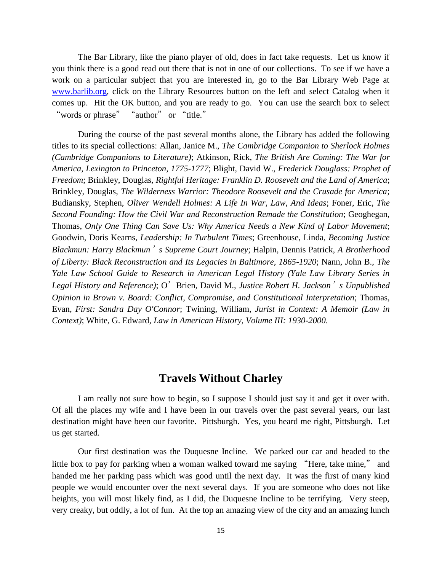The Bar Library, like the piano player of old, does in fact take requests. Let us know if you think there is a good read out there that is not in one of our collections. To see if we have a work on a particular subject that you are interested in, go to the Bar Library Web Page at [www.barlib.org,](http://www.barlib.org/) click on the Library Resources button on the left and select Catalog when it comes up. Hit the OK button, and you are ready to go. You can use the search box to select "words or phrase" "author" or "title."

During the course of the past several months alone, the Library has added the following titles to its special collections: Allan, Janice M., *[The Cambridge Companion to Sherlock Holmes](https://www.amazon.com/gp/product/1316609596/ref=ppx_od_dt_b_asin_title_s00?ie=UTF8&psc=1)  (Cambridge Companions to Literature)*; Atkinson, Rick, *[The British Are Coming: The War for](https://www.amazon.com/gp/product/1316609596/ref=ppx_od_dt_b_asin_title_s00?ie=UTF8&psc=1)  [America, Lexington to Princeton, 1775-1777](https://www.amazon.com/gp/product/1316609596/ref=ppx_od_dt_b_asin_title_s00?ie=UTF8&psc=1)*; Blight, David W., *[Frederick Douglass: Prophet of](https://www.amazon.com/gp/product/1416590315/ref=ppx_yo_dt_b_asin_title_o00_s00?ie=UTF8&psc=1)  Freedom*; Brinkley, Douglas, *[Rightful Heritage: Franklin D. Roosevelt and the Land of America](https://www.amazon.com/gp/product/1416590315/ref=ppx_yo_dt_b_asin_title_o00_s00?ie=UTF8&psc=1)*; Brinkley, Douglas, *[The Wilderness Warrior: Theodore Roosevelt and the Crusade for America](https://www.amazon.com/gp/product/1416590315/ref=ppx_yo_dt_b_asin_title_o00_s00?ie=UTF8&psc=1)*; Budiansky, Stephen, *[Oliver Wendell Holmes: A Life In War, Law, And Ideas](https://www.amazon.com/gp/product/1416590315/ref=ppx_yo_dt_b_asin_title_o00_s00?ie=UTF8&psc=1)*; Foner, Eric, *The [Second Founding: How the Civil War and Reconstruction Remade the Constitution](https://www.amazon.com/gp/product/1416590315/ref=ppx_yo_dt_b_asin_title_o00_s00?ie=UTF8&psc=1)*; Geoghegan, Thomas, *[Only One Thing Can Save Us: Why America Needs a New Kind of Labor Movement](https://www.amazon.com/gp/product/1416590315/ref=ppx_yo_dt_b_asin_title_o00_s00?ie=UTF8&psc=1)*; [Goodwin, Doris](https://www.amazon.com/gp/product/1416590315/ref=ppx_yo_dt_b_asin_title_o00_s00?ie=UTF8&psc=1) Kearns, *[Leadership: In Turbulent Times](https://www.amazon.com/gp/product/1416590315/ref=ppx_yo_dt_b_asin_title_o00_s00?ie=UTF8&psc=1)*; Greenhouse, Linda, *Becoming Justice Blackmun: Harry Blackmun*'*s Supreme Court Journey*; Halpin, Dennis Patrick, *A Brotherhood of Liberty: Black Reconstruction and Its Legacies in Baltimore, 1865-1920*; Nann, John B., *[The](https://www.amazon.com/gp/product/0300118538/ref=ppx_od_dt_b_asin_title_s00?ie=UTF8&psc=1)  [Yale Law School Guide to Research in American Legal History \(Yale Law Library Series in](https://www.amazon.com/gp/product/0300118538/ref=ppx_od_dt_b_asin_title_s00?ie=UTF8&psc=1)  [Legal History and Reference\)](https://www.amazon.com/gp/product/0300118538/ref=ppx_od_dt_b_asin_title_s00?ie=UTF8&psc=1)*; O'Brien, David M., *Justice Robert H. Jackson*'*s Unpublished [Opinion in Brown v. Board: Conflict, Compromise, and Constitutional Interpretation](https://www.amazon.com/gp/product/0300118538/ref=ppx_od_dt_b_asin_title_s00?ie=UTF8&psc=1)*; Thomas, Evan, *[First: Sandra Day O'Connor](https://www.amazon.com/gp/product/0399589287/ref=ppx_yo_dt_b_asin_title_o00_s00?ie=UTF8&psc=1)*; Twining, William, *[Jurist in Context: A Memoir \(Law in](https://www.amazon.com/gp/product/0399589287/ref=ppx_yo_dt_b_asin_title_o00_s00?ie=UTF8&psc=1)  Context)*; White, G. Edward, *[Law in American History, Volume III: 1930-2000](https://www.amazon.com/gp/product/0190634944/ref=ppx_od_dt_b_asin_title_s00?ie=UTF8&psc=1)*.

## **Travels Without Charley**

I am really not sure how to begin, so I suppose I should just say it and get it over with. Of all the places my wife and I have been in our travels over the past several years, our last destination might have been our favorite. Pittsburgh. Yes, you heard me right, Pittsburgh. Let us get started.

Our first destination was the Duquesne Incline. We parked our car and headed to the little box to pay for parking when a woman walked toward me saying "Here, take mine," and handed me her parking pass which was good until the next day. It was the first of many kind people we would encounter over the next several days. If you are someone who does not like heights, you will most likely find, as I did, the Duquesne Incline to be terrifying. Very steep, very creaky, but oddly, a lot of fun. At the top an amazing view of the city and an amazing lunch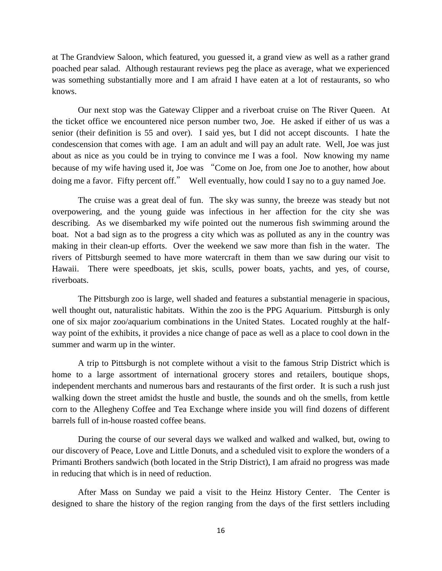at The Grandview Saloon, which featured, you guessed it, a grand view as well as a rather grand poached pear salad. Although restaurant reviews peg the place as average, what we experienced was something substantially more and I am afraid I have eaten at a lot of restaurants, so who knows.

Our next stop was the Gateway Clipper and a riverboat cruise on The River Queen. At the ticket office we encountered nice person number two, Joe. He asked if either of us was a senior (their definition is 55 and over). I said yes, but I did not accept discounts. I hate the condescension that comes with age. I am an adult and will pay an adult rate. Well, Joe was just about as nice as you could be in trying to convince me I was a fool. Now knowing my name because of my wife having used it, Joe was "Come on Joe, from one Joe to another, how about doing me a favor. Fifty percent off." Well eventually, how could I say no to a guy named Joe.

The cruise was a great deal of fun. The sky was sunny, the breeze was steady but not overpowering, and the young guide was infectious in her affection for the city she was describing. As we disembarked my wife pointed out the numerous fish swimming around the boat. Not a bad sign as to the progress a city which was as polluted as any in the country was making in their clean-up efforts. Over the weekend we saw more than fish in the water. The rivers of Pittsburgh seemed to have more watercraft in them than we saw during our visit to Hawaii. There were speedboats, jet skis, sculls, power boats, yachts, and yes, of course, riverboats.

The Pittsburgh zoo is large, well shaded and features a substantial menagerie in spacious, well thought out, naturalistic habitats. Within the zoo is the PPG Aquarium. Pittsburgh is only one of six major zoo/aquarium combinations in the United States. Located roughly at the halfway point of the exhibits, it provides a nice change of pace as well as a place to cool down in the summer and warm up in the winter.

A trip to Pittsburgh is not complete without a visit to the famous Strip District which is home to a large assortment of international grocery stores and retailers, boutique shops, independent merchants and numerous bars and restaurants of the first order. It is such a rush just walking down the street amidst the hustle and bustle, the sounds and oh the smells, from kettle corn to the Allegheny Coffee and Tea Exchange where inside you will find dozens of different barrels full of in-house roasted coffee beans.

During the course of our several days we walked and walked and walked, but, owing to our discovery of Peace, Love and Little Donuts, and a scheduled visit to explore the wonders of a Primanti Brothers sandwich (both located in the Strip District), I am afraid no progress was made in reducing that which is in need of reduction.

After Mass on Sunday we paid a visit to the Heinz History Center. The Center is designed to share the history of the region ranging from the days of the first settlers including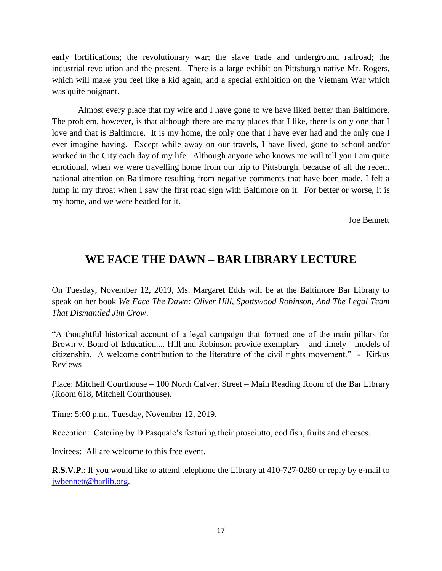early fortifications; the revolutionary war; the slave trade and underground railroad; the industrial revolution and the present. There is a large exhibit on Pittsburgh native Mr. Rogers, which will make you feel like a kid again, and a special exhibition on the Vietnam War which was quite poignant.

Almost every place that my wife and I have gone to we have liked better than Baltimore. The problem, however, is that although there are many places that I like, there is only one that I love and that is Baltimore. It is my home, the only one that I have ever had and the only one I ever imagine having. Except while away on our travels, I have lived, gone to school and/or worked in the City each day of my life. Although anyone who knows me will tell you I am quite emotional, when we were travelling home from our trip to Pittsburgh, because of all the recent national attention on Baltimore resulting from negative comments that have been made, I felt a lump in my throat when I saw the first road sign with Baltimore on it. For better or worse, it is my home, and we were headed for it.

Joe Bennett

## **WE FACE THE DAWN – BAR LIBRARY LECTURE**

On Tuesday, November 12, 2019, Ms. Margaret Edds will be at the Baltimore Bar Library to speak on her book *We Face The Dawn: Oliver Hill, Spottswood Robinson, And The Legal Team That Dismantled Jim Crow*.

"A thoughtful historical account of a legal campaign that formed one of the main pillars for Brown v. Board of Education.... Hill and Robinson provide exemplary—and timely—models of citizenship. A welcome contribution to the literature of the civil rights movement." - Kirkus Reviews

Place: Mitchell Courthouse – 100 North Calvert Street – Main Reading Room of the Bar Library (Room 618, Mitchell Courthouse).

Time: 5:00 p.m., Tuesday, November 12, 2019.

Reception: Catering by DiPasquale's featuring their prosciutto, cod fish, fruits and cheeses.

Invitees: All are welcome to this free event.

**R.S.V.P.**: If you would like to attend telephone the Library at 410-727-0280 or reply by e-mail to [jwbennett@barlib.org.](mailto:jwbennett@barlib.org)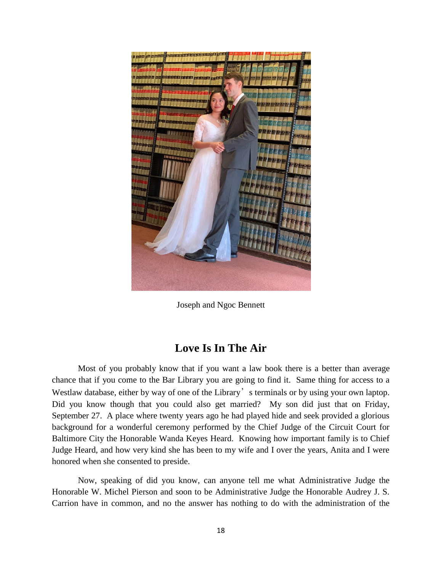

Joseph and Ngoc Bennett

## **Love Is In The Air**

Most of you probably know that if you want a law book there is a better than average chance that if you come to the Bar Library you are going to find it. Same thing for access to a Westlaw database, either by way of one of the Library's terminals or by using your own laptop. Did you know though that you could also get married? My son did just that on Friday, September 27. A place where twenty years ago he had played hide and seek provided a glorious background for a wonderful ceremony performed by the Chief Judge of the Circuit Court for Baltimore City the Honorable Wanda Keyes Heard. Knowing how important family is to Chief Judge Heard, and how very kind she has been to my wife and I over the years, Anita and I were honored when she consented to preside.

Now, speaking of did you know, can anyone tell me what Administrative Judge the Honorable W. Michel Pierson and soon to be Administrative Judge the Honorable Audrey J. S. Carrion have in common, and no the answer has nothing to do with the administration of the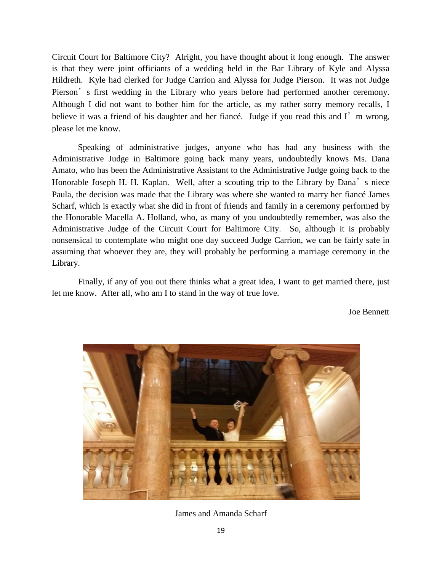Circuit Court for Baltimore City? Alright, you have thought about it long enough. The answer is that they were joint officiants of a wedding held in the Bar Library of Kyle and Alyssa Hildreth. Kyle had clerked for Judge Carrion and Alyssa for Judge Pierson. It was not Judge Pierson's first wedding in the Library who years before had performed another ceremony. Although I did not want to bother him for the article, as my rather sorry memory recalls, I believe it was a friend of his daughter and her fiance. Judge if you read this and I'm wrong, please let me know.

Speaking of administrative judges, anyone who has had any business with the Administrative Judge in Baltimore going back many years, undoubtedly knows Ms. Dana Amato, who has been the Administrative Assistant to the Administrative Judge going back to the Honorable Joseph H. H. Kaplan. Well, after a scouting trip to the Library by Dana's niece Paula, the decision was made that the Library was where she wanted to marry her fiancé James Scharf, which is exactly what she did in front of friends and family in a ceremony performed by the Honorable Macella A. Holland, who, as many of you undoubtedly remember, was also the Administrative Judge of the Circuit Court for Baltimore City. So, although it is probably nonsensical to contemplate who might one day succeed Judge Carrion, we can be fairly safe in assuming that whoever they are, they will probably be performing a marriage ceremony in the Library.

Finally, if any of you out there thinks what a great idea, I want to get married there, just let me know. After all, who am I to stand in the way of true love.

Joe Bennett



James and Amanda Scharf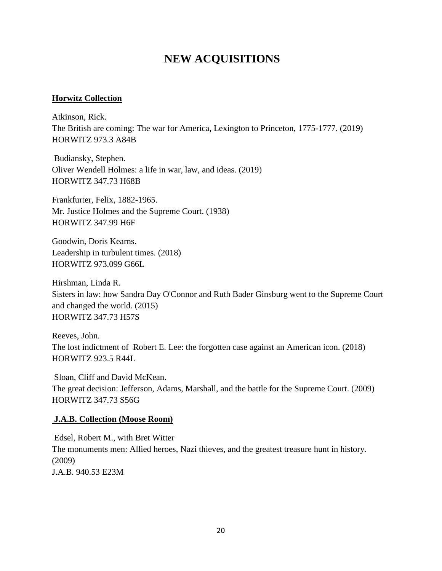## **NEW ACQUISITIONS**

#### **Horwitz Collection**

Atkinson, Rick. The British are coming: The war for America, Lexington to Princeton, 1775-1777. (2019) HORWITZ 973.3 A84B

Budiansky, Stephen. Oliver Wendell Holmes: a life in war, law, and ideas. (2019) HORWITZ 347.73 H68B

Frankfurter, Felix, 1882-1965. Mr. Justice Holmes and the Supreme Court. (1938) HORWITZ 347.99 H6F

Goodwin, Doris Kearns. Leadership in turbulent times. (2018) HORWITZ 973.099 G66L

Hirshman, Linda R. Sisters in law: how Sandra Day O'Connor and Ruth Bader Ginsburg went to the Supreme Court and changed the world. (2015) HORWITZ 347.73 H57S

Reeves, John. The lost indictment of Robert E. Lee: the forgotten case against an American icon. (2018) HORWITZ 923.5 R44L

Sloan, Cliff and David McKean. The great decision: Jefferson, Adams, Marshall, and the battle for the Supreme Court. (2009) HORWITZ 347.73 S56G

#### **J.A.B. Collection (Moose Room)**

Edsel, Robert M., with Bret Witter The monuments men: Allied heroes, Nazi thieves, and the greatest treasure hunt in history. (2009) J.A.B. 940.53 E23M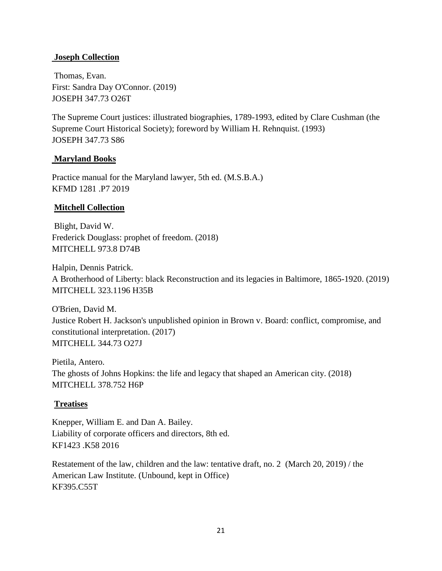#### **Joseph Collection**

Thomas, Evan. First: Sandra Day O'Connor. (2019) JOSEPH 347.73 O26T

The Supreme Court justices: illustrated biographies, 1789-1993, edited by Clare Cushman (the Supreme Court Historical Society); foreword by William H. Rehnquist. (1993) JOSEPH 347.73 S86

#### **Maryland Books**

Practice manual for the Maryland lawyer, 5th ed. (M.S.B.A.) KFMD 1281 .P7 2019

#### **Mitchell Collection**

Blight, David W. Frederick Douglass: prophet of freedom. (2018) MITCHELL 973.8 D74B

Halpin, Dennis Patrick. A Brotherhood of Liberty: black Reconstruction and its legacies in Baltimore, 1865-1920. (2019) MITCHELL 323.1196 H35B

O'Brien, David M. Justice Robert H. Jackson's unpublished opinion in Brown v. Board: conflict, compromise, and constitutional interpretation. (2017) MITCHELL 344.73 O27J

Pietila, Antero. The ghosts of Johns Hopkins: the life and legacy that shaped an American city. (2018) MITCHELL 378.752 H6P

### **Treatises**

Knepper, William E. and Dan A. Bailey. Liability of corporate officers and directors, 8th ed. KF1423 .K58 2016

Restatement of the law, children and the law: tentative draft, no. 2 (March 20, 2019) / the American Law Institute. (Unbound, kept in Office) KF395.C55T